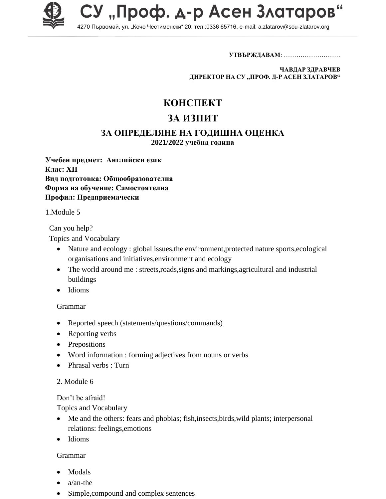

СУ "Проф. д-р Асен Златаров"

4270 Първомай, ул. "Кочо Честименски" 20, тел.:0336 65716, e-mail: a.zlatarov@sou-zlatarov.org

**УТВЪРЖДАВАМ**: ………………………

**ЧАВДАР ЗДРАВЧЕВ ДИРЕКТОР НА СУ "ПРОФ. Д-Р АСЕН ЗЛАТАРОВ"**

# **КОНСПЕКТ**

# **ЗА ИЗПИТ**

### **ЗА ОПРЕДЕЛЯНЕ НА ГОДИШНА ОЦЕНКА**

**2021/2022 учебна година**

**Учебен предмет: Английски език Клас: XII Вид подготовка: Общообразователна Форма на обучение: Самостоятелна Профил: Предприемачески**

1.Мodule 5

Can you help?

Topics and Vocabulary

- Nature and ecology : global issues, the environment, protected nature sports, ecological organisations and initiatives,environment and ecology
- The world around me : streets,roads, signs and markings, agricultural and industrial buildings
- Idioms

#### Grammar

- Reported speech (statements/questions/commands)
- Reporting verbs
- Prepositions
- Word information : forming adjectives from nouns or verbs
- Phrasal verbs : Turn

#### 2. Module 6

Don't be afraid!

Topics and Vocabulary

- Me and the others: fears and phobias; fish,insects,birds,wild plants; interpersonal relations: feelings,emotions
- Idioms

#### Grammar

- Modals
- a/an-the
- Simple,compound and complex sentences